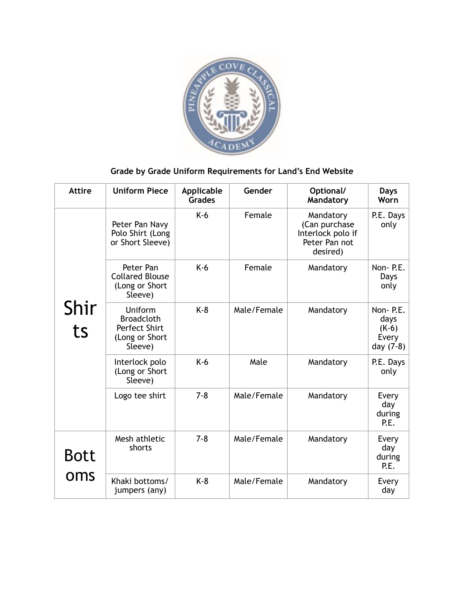

## **Grade by Grade Uniform Requirements for Land's End Website**

| <b>Attire</b> | <b>Uniform Piece</b>                                                       | Applicable<br><b>Grades</b> | Gender      | Optional/<br>Mandatory                                                       | Days<br>Worn                                      |
|---------------|----------------------------------------------------------------------------|-----------------------------|-------------|------------------------------------------------------------------------------|---------------------------------------------------|
| Shir<br>ts    | Peter Pan Navy<br>Polo Shirt (Long<br>or Short Sleeve)                     | $K-6$                       | Female      | Mandatory<br>(Can purchase<br>Interlock polo if<br>Peter Pan not<br>desired) | P.E. Days<br>only                                 |
|               | Peter Pan<br><b>Collared Blouse</b><br>(Long or Short<br>Sleeve)           | $K-6$                       | Female      | Mandatory                                                                    | Non-P.E.<br>Days<br>only                          |
|               | Uniform<br><b>Broadcloth</b><br>Perfect Shirt<br>(Long or Short<br>Sleeve) | $K-8$                       | Male/Female | Mandatory                                                                    | Non-P.E.<br>days<br>$(K-6)$<br>Every<br>day (7-8) |
|               | Interlock polo<br>(Long or Short<br>Sleeve)                                | $K-6$                       | Male        | Mandatory                                                                    | P.E. Days<br>only                                 |
|               | Logo tee shirt                                                             | $7 - 8$                     | Male/Female | Mandatory                                                                    | Every<br>day<br>during<br>P.E.                    |
| <b>Bott</b>   | Mesh athletic<br>shorts                                                    | $7 - 8$                     | Male/Female | Mandatory                                                                    | Every<br>day<br>during<br>P.E.                    |
| oms           | Khaki bottoms/<br>jumpers (any)                                            | $K-8$                       | Male/Female | Mandatory                                                                    | Every<br>day                                      |